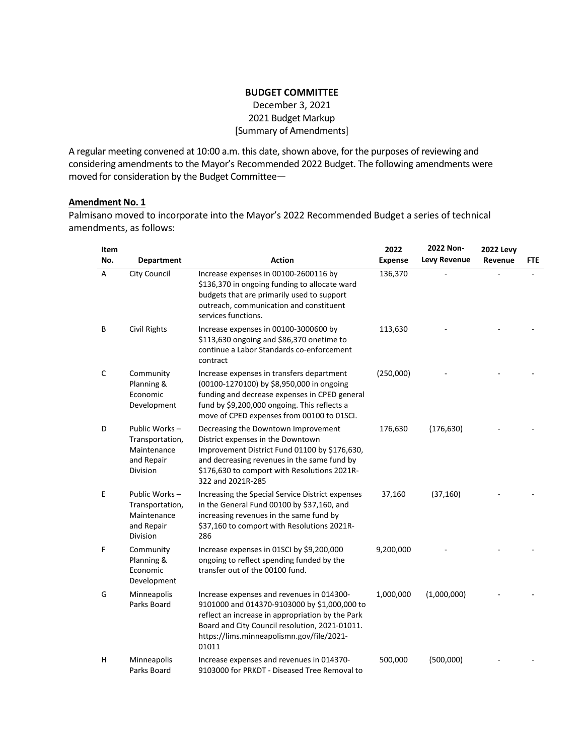### **BUDGET COMMITTEE** December 3, 2021

2021 Budget Markup

[Summary of Amendments]

A regular meeting convened at 10:00 a.m. this date, shown above, for the purposes of reviewing and considering amendments to the Mayor's Recommended 2022 Budget. The following amendments were moved for consideration by the Budget Committee—

## **Amendment No. 1**

Palmisano moved to incorporate into the Mayor's 2022 Recommended Budget a series of technical amendments, as follows:

| Item |                                                                           |                                                                                                                                                                                                                                                       | 2022           | 2022 Non-           | <b>2022 Levy</b> |     |
|------|---------------------------------------------------------------------------|-------------------------------------------------------------------------------------------------------------------------------------------------------------------------------------------------------------------------------------------------------|----------------|---------------------|------------------|-----|
| No.  | <b>Department</b>                                                         | <b>Action</b>                                                                                                                                                                                                                                         | <b>Expense</b> | <b>Levy Revenue</b> | Revenue          | FTE |
| A    | <b>City Council</b>                                                       | Increase expenses in 00100-2600116 by<br>\$136,370 in ongoing funding to allocate ward<br>budgets that are primarily used to support<br>outreach, communication and constituent<br>services functions.                                                | 136,370        |                     |                  |     |
| В    | Civil Rights                                                              | Increase expenses in 00100-3000600 by<br>\$113,630 ongoing and \$86,370 onetime to<br>continue a Labor Standards co-enforcement<br>contract                                                                                                           | 113,630        |                     |                  |     |
| С    | Community<br>Planning &<br>Economic<br>Development                        | Increase expenses in transfers department<br>(00100-1270100) by \$8,950,000 in ongoing<br>funding and decrease expenses in CPED general<br>fund by \$9,200,000 ongoing. This reflects a<br>move of CPED expenses from 00100 to 01SCI.                 | (250,000)      |                     |                  |     |
| D    | Public Works-<br>Transportation,<br>Maintenance<br>and Repair<br>Division | Decreasing the Downtown Improvement<br>District expenses in the Downtown<br>Improvement District Fund 01100 by \$176,630,<br>and decreasing revenues in the same fund by<br>\$176,630 to comport with Resolutions 2021R-<br>322 and 2021R-285         | 176,630        | (176, 630)          |                  |     |
| E    | Public Works-<br>Transportation,<br>Maintenance<br>and Repair<br>Division | Increasing the Special Service District expenses<br>in the General Fund 00100 by \$37,160, and<br>increasing revenues in the same fund by<br>\$37,160 to comport with Resolutions 2021R-<br>286                                                       | 37,160         | (37, 160)           |                  |     |
| F    | Community<br>Planning &<br>Economic<br>Development                        | Increase expenses in 01SCI by \$9,200,000<br>ongoing to reflect spending funded by the<br>transfer out of the 00100 fund.                                                                                                                             | 9,200,000      |                     |                  |     |
| G    | Minneapolis<br>Parks Board                                                | Increase expenses and revenues in 014300-<br>9101000 and 014370-9103000 by \$1,000,000 to<br>reflect an increase in appropriation by the Park<br>Board and City Council resolution, 2021-01011.<br>https://lims.minneapolismn.gov/file/2021-<br>01011 | 1,000,000      | (1,000,000)         |                  |     |
| н    | Minneapolis<br>Parks Board                                                | Increase expenses and revenues in 014370-<br>9103000 for PRKDT - Diseased Tree Removal to                                                                                                                                                             | 500,000        | (500,000)           |                  |     |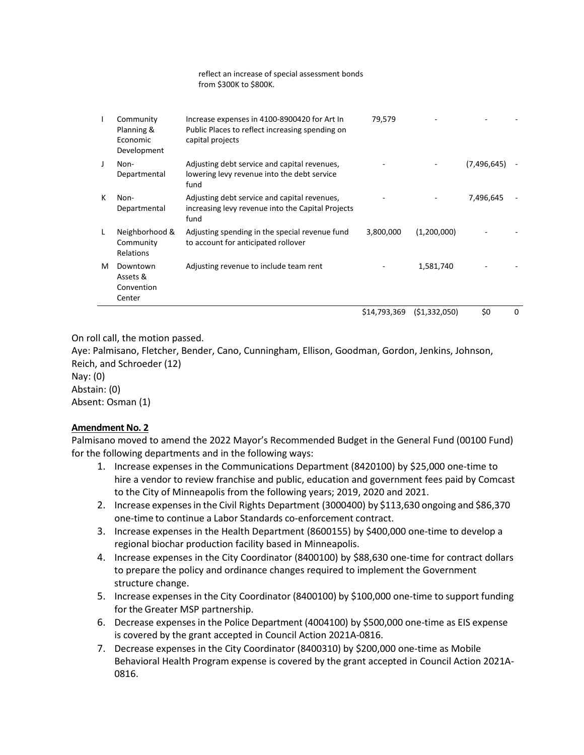| $\mathbf{I}$ | Community<br>Planning &<br>Economic<br>Development | Increase expenses in 4100-8900420 for Art In<br>Public Places to reflect increasing spending on<br>capital projects | 79,579       |                |             |   |
|--------------|----------------------------------------------------|---------------------------------------------------------------------------------------------------------------------|--------------|----------------|-------------|---|
| J            | Non-<br>Departmental                               | Adjusting debt service and capital revenues,<br>lowering levy revenue into the debt service<br>fund                 |              |                | (7,496,645) |   |
| к            | Non-<br>Departmental                               | Adjusting debt service and capital revenues,<br>increasing levy revenue into the Capital Projects<br>fund           |              |                | 7,496,645   |   |
| L            | Neighborhood &<br>Community<br>Relations           | Adjusting spending in the special revenue fund<br>to account for anticipated rollover                               | 3,800,000    | (1,200,000)    |             |   |
| м            | Downtown<br>Assets &<br>Convention<br>Center       | Adjusting revenue to include team rent                                                                              |              | 1,581,740      |             |   |
|              |                                                    |                                                                                                                     | \$14,793,369 | ( \$1,332,050) | \$0         | 0 |

reflect an increase of special assessment bonds

from \$300K to \$800K.

On roll call, the motion passed.

Aye: Palmisano, Fletcher, Bender, Cano, Cunningham, Ellison, Goodman, Gordon, Jenkins, Johnson, Reich, and Schroeder (12) Nay: (0) Abstain: (0)

Absent: Osman (1)

# **Amendment No. 2**

Palmisano moved to amend the 2022 Mayor's Recommended Budget in the General Fund (00100 Fund) for the following departments and in the following ways:

- 1. Increase expenses in the Communications Department (8420100) by \$25,000 one-time to hire a vendor to review franchise and public, education and government fees paid by Comcast to the City of Minneapolis from the following years; 2019, 2020 and 2021.
- 2. Increase expensesin the Civil Rights Department (3000400) by \$113,630 ongoing and \$86,370 one-time to continue a Labor Standards co-enforcement contract.
- 3. Increase expenses in the Health Department (8600155) by \$400,000 one-time to develop a regional biochar production facility based in Minneapolis.
- 4. Increase expenses in the City Coordinator (8400100) by \$88,630 one-time for contract dollars to prepare the policy and ordinance changes required to implement the Government structure change.
- 5. Increase expenses in the City Coordinator (8400100) by \$100,000 one-time to support funding for the Greater MSP partnership.
- 6. Decrease expenses in the Police Department (4004100) by \$500,000 one-time as EIS expense is covered by the grant accepted in Council Actio[n 2021A-0816.](https://lims.minneapolismn.gov/Download/MetaData/23457/2021A-0816_Id_23457.pdf)
- 7. Decrease expenses in the City Coordinator (8400310) by \$200,000 one-time as Mobile Behavioral Health Program expense is covered by the grant accepted in Council Action [2021A-](https://lims.minneapolismn.gov/Download/MetaData/23457/2021A-0816_Id_23457.pdf)[0816.](https://lims.minneapolismn.gov/Download/MetaData/23457/2021A-0816_Id_23457.pdf)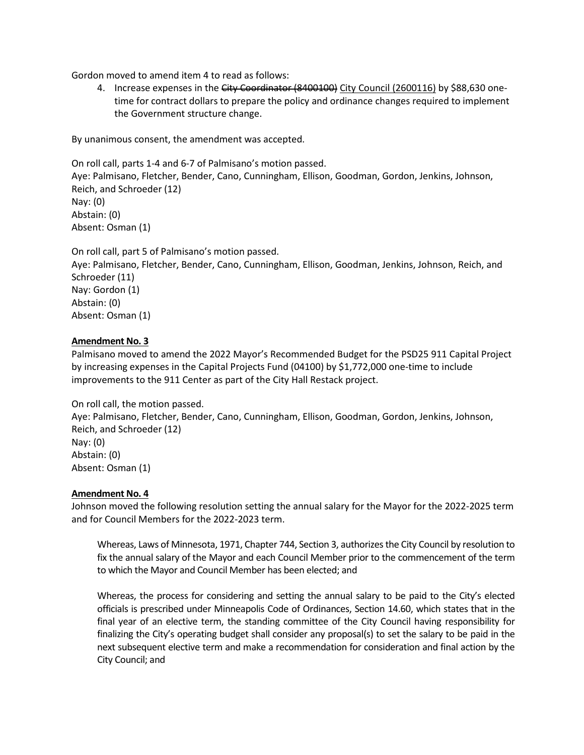Gordon moved to amend item 4 to read as follows:

4. Increase expenses in the City Coordinator (8400100) City Council (2600116) by \$88,630 onetime for contract dollars to prepare the policy and ordinance changes required to implement the Government structure change.

By unanimous consent, the amendment was accepted.

On roll call, parts 1-4 and 6-7 of Palmisano's motion passed. Aye: Palmisano, Fletcher, Bender, Cano, Cunningham, Ellison, Goodman, Gordon, Jenkins, Johnson, Reich, and Schroeder (12) Nay: (0) Abstain: (0) Absent: Osman (1)

On roll call, part 5 of Palmisano's motion passed. Aye: Palmisano, Fletcher, Bender, Cano, Cunningham, Ellison, Goodman, Jenkins, Johnson, Reich, and Schroeder (11) Nay: Gordon (1) Abstain: (0) Absent: Osman (1)

### **Amendment No. 3**

Palmisano moved to amend the 2022 Mayor's Recommended Budget for the PSD25 911 Capital Project by increasing expenses in the Capital Projects Fund (04100) by \$1,772,000 one-time to include improvements to the 911 Center as part of the City Hall Restack project.

On roll call, the motion passed.

Aye: Palmisano, Fletcher, Bender, Cano, Cunningham, Ellison, Goodman, Gordon, Jenkins, Johnson, Reich, and Schroeder (12) Nay: (0) Abstain: (0) Absent: Osman (1)

#### **Amendment No. 4**

Johnson moved the following resolution setting the annual salary for the Mayor for the 2022-2025 term and for Council Members for the 2022-2023 term.

Whereas, Laws of Minnesota, 1971, Chapter 744, Section 3, authorizes the City Council by resolution to fix the annual salary of the Mayor and each Council Member prior to the commencement of the term to which the Mayor and Council Member has been elected; and

Whereas, the process for considering and setting the annual salary to be paid to the City's elected officials is prescribed under Minneapolis Code of Ordinances, Section 14.60, which states that in the final year of an elective term, the standing committee of the City Council having responsibility for finalizing the City's operating budget shall consider any proposal(s) to set the salary to be paid in the next subsequent elective term and make a recommendation for consideration and final action by the City Council; and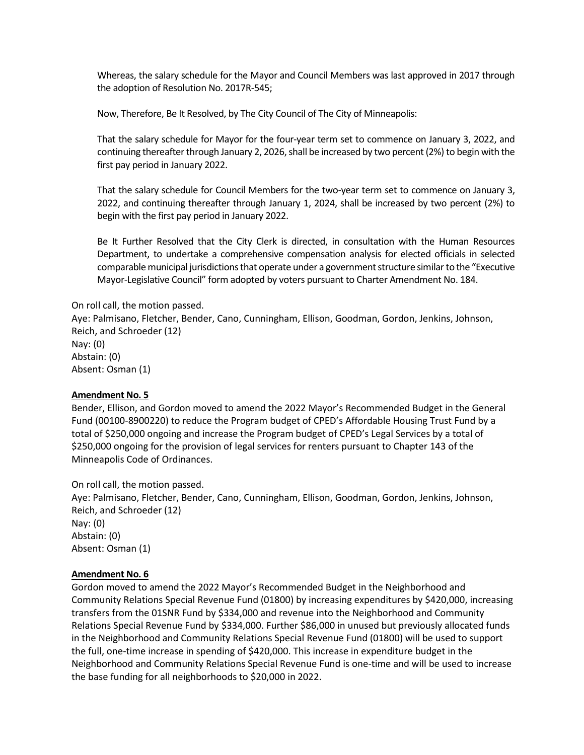Whereas, the salary schedule for the Mayor and Council Members was last approved in 2017 through the adoption of Resolution No. 2017R-545;

Now, Therefore, Be It Resolved, by The City Council of The City of Minneapolis:

That the salary schedule for Mayor for the four-year term set to commence on January 3, 2022, and continuing thereafter through January 2, 2026, shall be increased by two percent (2%) to begin with the first pay period in January 2022.

That the salary schedule for Council Members for the two-year term set to commence on January 3, 2022, and continuing thereafter through January 1, 2024, shall be increased by two percent (2%) to begin with the first pay period in January 2022.

Be It Further Resolved that the City Clerk is directed, in consultation with the Human Resources Department, to undertake a comprehensive compensation analysis for elected officials in selected comparable municipal jurisdictions that operate under a government structure similar to the "Executive Mayor-Legislative Council" form adopted by voters pursuant to Charter Amendment No. 184.

On roll call, the motion passed.

Aye: Palmisano, Fletcher, Bender, Cano, Cunningham, Ellison, Goodman, Gordon, Jenkins, Johnson, Reich, and Schroeder (12) Nay: (0) Abstain: (0) Absent: Osman (1)

#### **Amendment No. 5**

Bender, Ellison, and Gordon moved to amend the 2022 Mayor's Recommended Budget in the General Fund (00100-8900220) to reduce the Program budget of CPED's Affordable Housing Trust Fund by a total of \$250,000 ongoing and increase the Program budget of CPED's Legal Services by a total of \$250,000 ongoing for the provision of legal services for renters pursuant to Chapter 143 of the Minneapolis Code of Ordinances.

On roll call, the motion passed. Aye: Palmisano, Fletcher, Bender, Cano, Cunningham, Ellison, Goodman, Gordon, Jenkins, Johnson, Reich, and Schroeder (12) Nay: (0) Abstain: (0) Absent: Osman (1)

#### **Amendment No. 6**

Gordon moved to amend the 2022 Mayor's Recommended Budget in the Neighborhood and Community Relations Special Revenue Fund (01800) by increasing expenditures by \$420,000, increasing transfers from the 01SNR Fund by \$334,000 and revenue into the Neighborhood and Community Relations Special Revenue Fund by \$334,000. Further \$86,000 in unused but previously allocated funds in the Neighborhood and Community Relations Special Revenue Fund (01800) will be used to support the full, one-time increase in spending of \$420,000. This increase in expenditure budget in the Neighborhood and Community Relations Special Revenue Fund is one-time and will be used to increase the base funding for all neighborhoods to \$20,000 in 2022.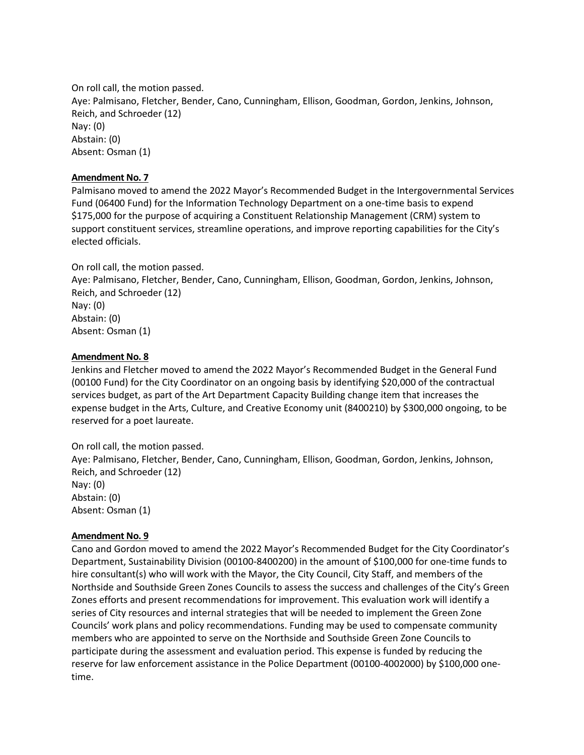On roll call, the motion passed. Aye: Palmisano, Fletcher, Bender, Cano, Cunningham, Ellison, Goodman, Gordon, Jenkins, Johnson, Reich, and Schroeder (12) Nay: (0) Abstain: (0) Absent: Osman (1)

### **Amendment No. 7**

Palmisano moved to amend the 2022 Mayor's Recommended Budget in the Intergovernmental Services Fund (06400 Fund) for the Information Technology Department on a one-time basis to expend \$175,000 for the purpose of acquiring a Constituent Relationship Management (CRM) system to support constituent services, streamline operations, and improve reporting capabilities for the City's elected officials.

### On roll call, the motion passed.

Aye: Palmisano, Fletcher, Bender, Cano, Cunningham, Ellison, Goodman, Gordon, Jenkins, Johnson, Reich, and Schroeder (12) Nay: (0) Abstain: (0) Absent: Osman (1)

### **Amendment No. 8**

Jenkins and Fletcher moved to amend the 2022 Mayor's Recommended Budget in the General Fund (00100 Fund) for the City Coordinator on an ongoing basis by identifying \$20,000 of the contractual services budget, as part of the Art Department Capacity Building change item that increases the expense budget in the Arts, Culture, and Creative Economy unit (8400210) by \$300,000 ongoing, to be reserved for a poet laureate.

On roll call, the motion passed. Aye: Palmisano, Fletcher, Bender, Cano, Cunningham, Ellison, Goodman, Gordon, Jenkins, Johnson, Reich, and Schroeder (12) Nay: (0) Abstain: (0) Absent: Osman (1)

### **Amendment No. 9**

Cano and Gordon moved to amend the 2022 Mayor's Recommended Budget for the City Coordinator's Department, Sustainability Division (00100-8400200) in the amount of \$100,000 for one-time funds to hire consultant(s) who will work with the Mayor, the City Council, City Staff, and members of the Northside and Southside Green Zones Councils to assess the success and challenges of the City's Green Zones efforts and present recommendations for improvement. This evaluation work will identify a series of City resources and internal strategies that will be needed to implement the Green Zone Councils' work plans and policy recommendations. Funding may be used to compensate community members who are appointed to serve on the Northside and Southside Green Zone Councils to participate during the assessment and evaluation period. This expense is funded by reducing the reserve for law enforcement assistance in the Police Department (00100-4002000) by \$100,000 onetime.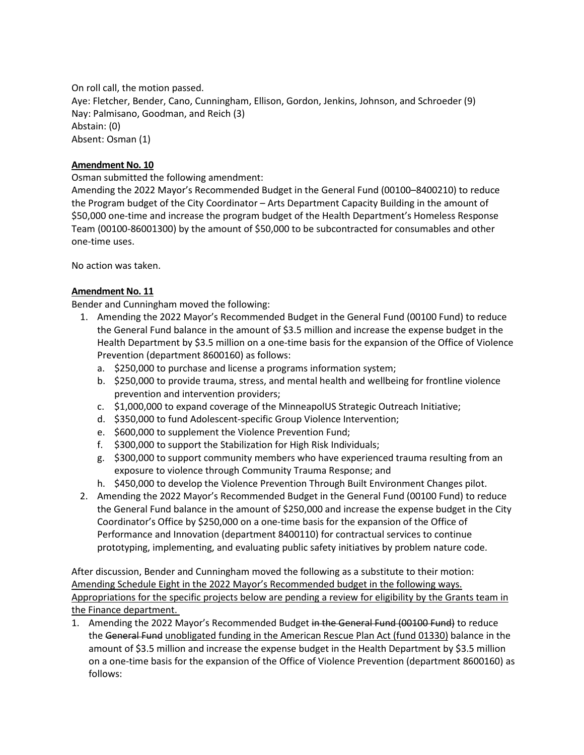On roll call, the motion passed. Aye: Fletcher, Bender, Cano, Cunningham, Ellison, Gordon, Jenkins, Johnson, and Schroeder (9) Nay: Palmisano, Goodman, and Reich (3) Abstain: (0) Absent: Osman (1)

# **Amendment No. 10**

Osman submitted the following amendment:

Amending the 2022 Mayor's Recommended Budget in the General Fund (00100–8400210) to reduce the Program budget of the City Coordinator – Arts Department Capacity Building in the amount of \$50,000 one-time and increase the program budget of the Health Department's Homeless Response Team (00100-86001300) by the amount of \$50,000 to be subcontracted for consumables and other one-time uses.

No action was taken.

# **Amendment No. 11**

Bender and Cunningham moved the following:

- 1. Amending the 2022 Mayor's Recommended Budget in the General Fund (00100 Fund) to reduce the General Fund balance in the amount of \$3.5 million and increase the expense budget in the Health Department by \$3.5 million on a one-time basis for the expansion of the Office of Violence Prevention (department 8600160) as follows:
	- a. \$250,000 to purchase and license a programs information system;
	- b. \$250,000 to provide trauma, stress, and mental health and wellbeing for frontline violence prevention and intervention providers;
	- c. \$1,000,000 to expand coverage of the MinneapolUS Strategic Outreach Initiative;
	- d. \$350,000 to fund Adolescent-specific Group Violence Intervention;
	- e. \$600,000 to supplement the Violence Prevention Fund;
	- f. \$300,000 to support the Stabilization for High Risk Individuals;
	- g. \$300,000 to support community members who have experienced trauma resulting from an exposure to violence through Community Trauma Response; and
	- h. \$450,000 to develop the Violence Prevention Through Built Environment Changes pilot.
- 2. Amending the 2022 Mayor's Recommended Budget in the General Fund (00100 Fund) to reduce the General Fund balance in the amount of \$250,000 and increase the expense budget in the City Coordinator's Office by \$250,000 on a one-time basis for the expansion of the Office of Performance and Innovation (department 8400110) for contractual services to continue prototyping, implementing, and evaluating public safety initiatives by problem nature code.

After discussion, Bender and Cunningham moved the following as a substitute to their motion: Amending Schedule Eight in the 2022 Mayor's Recommended budget in the following ways. Appropriations for the specific projects below are pending a review for eligibility by the Grants team in the Finance department.

1. Amending the 2022 Mayor's Recommended Budget in the General Fund (00100 Fund) to reduce the General Fund unobligated funding in the American Rescue Plan Act (fund 01330) balance in the amount of \$3.5 million and increase the expense budget in the Health Department by \$3.5 million on a one-time basis for the expansion of the Office of Violence Prevention (department 8600160) as follows: